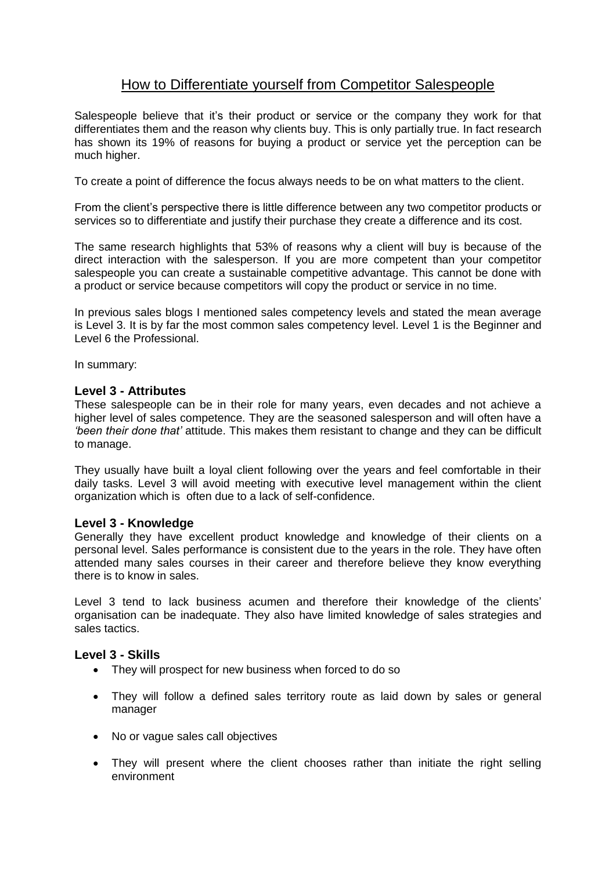## How to Differentiate yourself from Competitor Salespeople

Salespeople believe that it's their product or service or the company they work for that differentiates them and the reason why clients buy. This is only partially true. In fact research has shown its 19% of reasons for buying a product or service yet the perception can be much higher.

To create a point of difference the focus always needs to be on what matters to the client.

From the client's perspective there is little difference between any two competitor products or services so to differentiate and justify their purchase they create a difference and its cost.

The same research highlights that 53% of reasons why a client will buy is because of the direct interaction with the salesperson. If you are more competent than your competitor salespeople you can create a sustainable competitive advantage. This cannot be done with a product or service because competitors will copy the product or service in no time.

In previous sales blogs I mentioned sales competency levels and stated the mean average is Level 3. It is by far the most common sales competency level. Level 1 is the Beginner and Level 6 the Professional.

In summary:

## **Level 3 - Attributes**

These salespeople can be in their role for many years, even decades and not achieve a higher level of sales competence. They are the seasoned salesperson and will often have a *'been their done that'* attitude. This makes them resistant to change and they can be difficult to manage.

They usually have built a loyal client following over the years and feel comfortable in their daily tasks. Level 3 will avoid meeting with executive level management within the client organization which is often due to a lack of self-confidence.

## **Level 3 - Knowledge**

Generally they have excellent product knowledge and knowledge of their clients on a personal level. Sales performance is consistent due to the years in the role. They have often attended many sales courses in their career and therefore believe they know everything there is to know in sales.

Level 3 tend to lack business acumen and therefore their knowledge of the clients' organisation can be inadequate. They also have limited knowledge of sales strategies and sales tactics.

## **Level 3 - Skills**

- They will prospect for new business when forced to do so
- They will follow a defined sales territory route as laid down by sales or general manager
- No or vague sales call objectives
- They will present where the client chooses rather than initiate the right selling environment